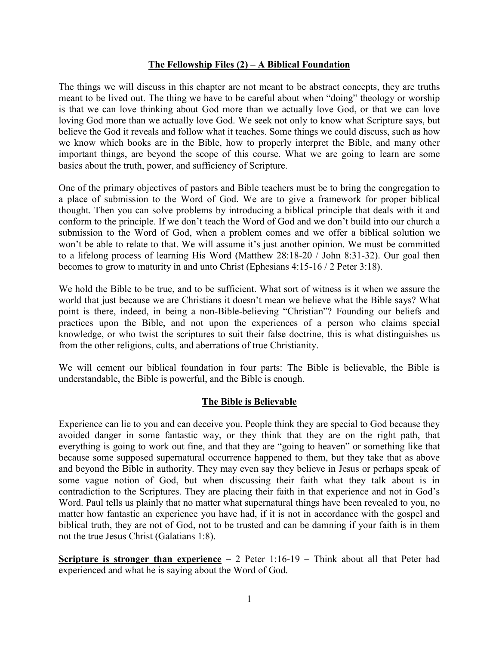### **The Fellowship Files (2) – A Biblical Foundation**

The things we will discuss in this chapter are not meant to be abstract concepts, they are truths meant to be lived out. The thing we have to be careful about when "doing" theology or worship is that we can love thinking about God more than we actually love God, or that we can love loving God more than we actually love God. We seek not only to know what Scripture says, but believe the God it reveals and follow what it teaches. Some things we could discuss, such as how we know which books are in the Bible, how to properly interpret the Bible, and many other important things, are beyond the scope of this course. What we are going to learn are some basics about the truth, power, and sufficiency of Scripture.

One of the primary objectives of pastors and Bible teachers must be to bring the congregation to a place of submission to the Word of God. We are to give a framework for proper biblical thought. Then you can solve problems by introducing a biblical principle that deals with it and conform to the principle. If we don't teach the Word of God and we don't build into our church a submission to the Word of God, when a problem comes and we offer a biblical solution we won't be able to relate to that. We will assume it's just another opinion. We must be committed to a lifelong process of learning His Word (Matthew 28:18-20 / John 8:31-32). Our goal then becomes to grow to maturity in and unto Christ (Ephesians 4:15-16 / 2 Peter 3:18).

We hold the Bible to be true, and to be sufficient. What sort of witness is it when we assure the world that just because we are Christians it doesn't mean we believe what the Bible says? What point is there, indeed, in being a non-Bible-believing "Christian"? Founding our beliefs and practices upon the Bible, and not upon the experiences of a person who claims special knowledge, or who twist the scriptures to suit their false doctrine, this is what distinguishes us from the other religions, cults, and aberrations of true Christianity.

We will cement our biblical foundation in four parts: The Bible is believable, the Bible is understandable, the Bible is powerful, and the Bible is enough.

# **The Bible is Believable**

Experience can lie to you and can deceive you. People think they are special to God because they avoided danger in some fantastic way, or they think that they are on the right path, that everything is going to work out fine, and that they are "going to heaven" or something like that because some supposed supernatural occurrence happened to them, but they take that as above and beyond the Bible in authority. They may even say they believe in Jesus or perhaps speak of some vague notion of God, but when discussing their faith what they talk about is in contradiction to the Scriptures. They are placing their faith in that experience and not in God's Word. Paul tells us plainly that no matter what supernatural things have been revealed to you, no matter how fantastic an experience you have had, if it is not in accordance with the gospel and biblical truth, they are not of God, not to be trusted and can be damning if your faith is in them not the true Jesus Christ (Galatians 1:8).

**<u>Scripture is stronger than experience</u>** – 2 Peter 1:16-19 – Think about all that Peter had experienced and what he is saying about the Word of God.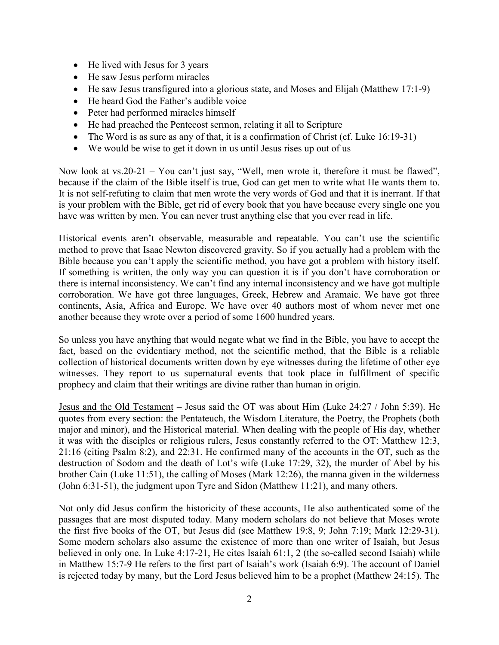- He lived with Jesus for 3 years
- He saw Jesus perform miracles
- He saw Jesus transfigured into a glorious state, and Moses and Elijah (Matthew 17:1-9)
- He heard God the Father's audible voice
- Peter had performed miracles himself
- He had preached the Pentecost sermon, relating it all to Scripture
- The Word is as sure as any of that, it is a confirmation of Christ (cf. Luke 16:19-31)
- We would be wise to get it down in us until Jesus rises up out of us

Now look at vs.20-21 – You can't just say, "Well, men wrote it, therefore it must be flawed", because if the claim of the Bible itself is true, God can get men to write what He wants them to. It is not self-refuting to claim that men wrote the very words of God and that it is inerrant. If that is your problem with the Bible, get rid of every book that you have because every single one you have was written by men. You can never trust anything else that you ever read in life.

Historical events aren't observable, measurable and repeatable. You can't use the scientific method to prove that Isaac Newton discovered gravity. So if you actually had a problem with the Bible because you can't apply the scientific method, you have got a problem with history itself. If something is written, the only way you can question it is if you don't have corroboration or there is internal inconsistency. We can't find any internal inconsistency and we have got multiple corroboration. We have got three languages, Greek, Hebrew and Aramaic. We have got three continents, Asia, Africa and Europe. We have over 40 authors most of whom never met one another because they wrote over a period of some 1600 hundred years.

So unless you have anything that would negate what we find in the Bible, you have to accept the fact, based on the evidentiary method, not the scientific method, that the Bible is a reliable collection of historical documents written down by eye witnesses during the lifetime of other eye witnesses. They report to us supernatural events that took place in fulfillment of specific prophecy and claim that their writings are divine rather than human in origin.

Jesus and the Old Testament – Jesus said the OT was about Him (Luke 24:27 / John 5:39). He quotes from every section: the Pentateuch, the Wisdom Literature, the Poetry, the Prophets (both major and minor), and the Historical material. When dealing with the people of His day, whether it was with the disciples or religious rulers, Jesus constantly referred to the OT: Matthew 12:3, 21:16 (citing Psalm 8:2), and 22:31. He confirmed many of the accounts in the OT, such as the destruction of Sodom and the death of Lot's wife (Luke 17:29, 32), the murder of Abel by his brother Cain (Luke 11:51), the calling of Moses (Mark 12:26), the manna given in the wilderness (John 6:31-51), the judgment upon Tyre and Sidon (Matthew 11:21), and many others.

Not only did Jesus confirm the historicity of these accounts, He also authenticated some of the passages that are most disputed today. Many modern scholars do not believe that Moses wrote the first five books of the OT, but Jesus did (see Matthew 19:8, 9; John 7:19; Mark 12:29-31). Some modern scholars also assume the existence of more than one writer of Isaiah, but Jesus believed in only one. In Luke 4:17-21, He cites Isaiah 61:1, 2 (the so-called second Isaiah) while in Matthew 15:7-9 He refers to the first part of Isaiah's work (Isaiah 6:9). The account of Daniel is rejected today by many, but the Lord Jesus believed him to be a prophet (Matthew 24:15). The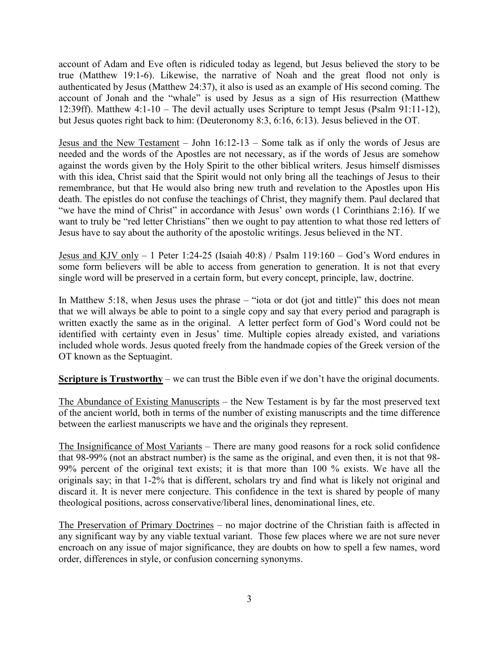account of Adam and Eve often is ridiculed today as legend, but Jesus believed the story to be true (Matthew 19:1-6). Likewise, the narrative of Noah and the great flood not only is authenticated by Jesus (Matthew 24:37), it also is used as an example of His second coming. The account of Jonah and the "whale" is used by Jesus as a sign of His resurrection (Matthew 12:39ff). Matthew 4:1-10 – The devil actually uses Scripture to tempt Jesus (Psalm 91:11-12), but Jesus quotes right back to him: (Deuteronomy 8:3, 6:16, 6:13). Jesus believed in the OT.

Jesus and the New Testament – John 16:12-13 – Some talk as if only the words of Jesus are needed and the words of the Apostles are not necessary, as if the words of Jesus are somehow against the words given by the Holy Spirit to the other biblical writers. Jesus himself dismisses with this idea, Christ said that the Spirit would not only bring all the teachings of Jesus to their remembrance, but that He would also bring new truth and revelation to the Apostles upon His death. The epistles do not confuse the teachings of Christ, they magnify them. Paul declared that "we have the mind of Christ" in accordance with Jesus' own words (1 Corinthians 2:16). If we want to truly be "red letter Christians" then we ought to pay attention to what those red letters of Jesus have to say about the authority of the apostolic writings. Jesus believed in the NT.

Jesus and KJV only  $-1$  Peter 1:24-25 (Isaiah 40:8) / Psalm 119:160  $-$  God's Word endures in some form believers will be able to access from generation to generation. It is not that every single word will be preserved in a certain form, but every concept, principle, law, doctrine.

In Matthew 5:18, when Jesus uses the phrase – "iota or dot (jot and tittle)" this does not mean that we will always be able to point to a single copy and say that every period and paragraph is written exactly the same as in the original. A letter perfect form of God's Word could not be identified with certainty even in Jesus' time. Multiple copies already existed, and variations included whole words. Jesus quoted freely from the handmade copies of the Greek version of the OT known as the Septuagint.

**Scripture is Trustworthy** – we can trust the Bible even if we don't have the original documents.

The Abundance of Existing Manuscripts – the New Testament is by far the most preserved text of the ancient world, both in terms of the number of existing manuscripts and the time difference between the earliest manuscripts we have and the originals they represent.

The Insignificance of Most Variants – There are many good reasons for a rock solid confidence that 98-99% (not an abstract number) is the same as the original, and even then, it is not that 98- 99% percent of the original text exists; it is that more than 100 % exists. We have all the originals say; in that 1-2% that is different, scholars try and find what is likely not original and discard it. It is never mere conjecture. This confidence in the text is shared by people of many theological positions, across conservative/liberal lines, denominational lines, etc.

The Preservation of Primary Doctrines – no major doctrine of the Christian faith is affected in any significant way by any viable textual variant. Those few places where we are not sure never encroach on any issue of major significance, they are doubts on how to spell a few names, word order, differences in style, or confusion concerning synonyms.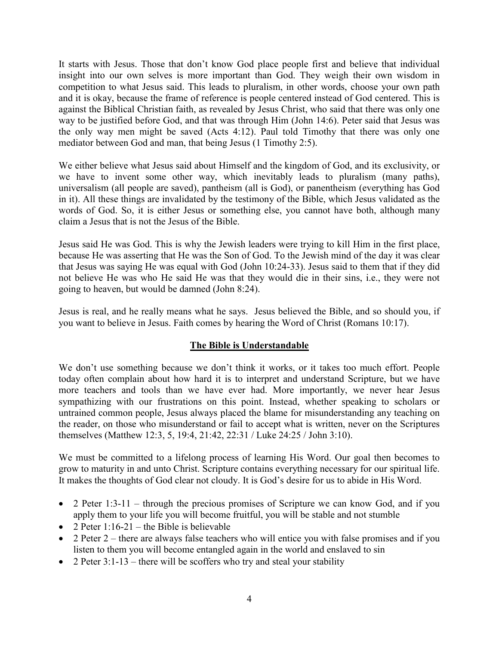It starts with Jesus. Those that don't know God place people first and believe that individual insight into our own selves is more important than God. They weigh their own wisdom in competition to what Jesus said. This leads to pluralism, in other words, choose your own path and it is okay, because the frame of reference is people centered instead of God centered. This is against the Biblical Christian faith, as revealed by Jesus Christ, who said that there was only one way to be justified before God, and that was through Him (John 14:6). Peter said that Jesus was the only way men might be saved (Acts 4:12). Paul told Timothy that there was only one mediator between God and man, that being Jesus (1 Timothy 2:5).

We either believe what Jesus said about Himself and the kingdom of God, and its exclusivity, or we have to invent some other way, which inevitably leads to pluralism (many paths), universalism (all people are saved), pantheism (all is God), or panentheism (everything has God in it). All these things are invalidated by the testimony of the Bible, which Jesus validated as the words of God. So, it is either Jesus or something else, you cannot have both, although many claim a Jesus that is not the Jesus of the Bible.

Jesus said He was God. This is why the Jewish leaders were trying to kill Him in the first place, because He was asserting that He was the Son of God. To the Jewish mind of the day it was clear that Jesus was saying He was equal with God (John 10:24-33). Jesus said to them that if they did not believe He was who He said He was that they would die in their sins, i.e., they were not going to heaven, but would be damned (John 8:24).

Jesus is real, and he really means what he says. Jesus believed the Bible, and so should you, if you want to believe in Jesus. Faith comes by hearing the Word of Christ (Romans 10:17).

# **The Bible is Understandable**

We don't use something because we don't think it works, or it takes too much effort. People today often complain about how hard it is to interpret and understand Scripture, but we have more teachers and tools than we have ever had. More importantly, we never hear Jesus sympathizing with our frustrations on this point. Instead, whether speaking to scholars or untrained common people, Jesus always placed the blame for misunderstanding any teaching on the reader, on those who misunderstand or fail to accept what is written, never on the Scriptures themselves (Matthew 12:3, 5, 19:4, 21:42, 22:31 / Luke 24:25 / John 3:10).

We must be committed to a lifelong process of learning His Word. Our goal then becomes to grow to maturity in and unto Christ. Scripture contains everything necessary for our spiritual life. It makes the thoughts of God clear not cloudy. It is God's desire for us to abide in His Word.

- 2 Peter 1:3-11 through the precious promises of Scripture we can know God, and if you apply them to your life you will become fruitful, you will be stable and not stumble
- 2 Peter  $1:16-21$  the Bible is believable
- $\bullet$  2 Peter 2 there are always false teachers who will entice you with false promises and if you listen to them you will become entangled again in the world and enslaved to sin
- 2 Peter  $3:1-13$  there will be scoffers who try and steal your stability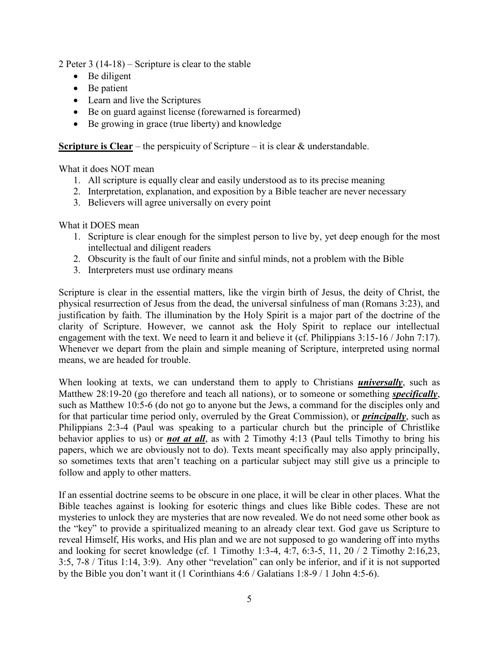2 Peter 3 (14-18) – Scripture is clear to the stable

- Be diligent
- Be patient
- Learn and live the Scriptures
- Be on guard against license (forewarned is forearmed)
- Be growing in grace (true liberty) and knowledge

**Scripture is Clear** – the perspicuity of Scripture – it is clear & understandable.

What it does NOT mean

- 1. All scripture is equally clear and easily understood as to its precise meaning
- 2. Interpretation, explanation, and exposition by a Bible teacher are never necessary
- 3. Believers will agree universally on every point

What it DOES mean

- 1. Scripture is clear enough for the simplest person to live by, yet deep enough for the most intellectual and diligent readers
- 2. Obscurity is the fault of our finite and sinful minds, not a problem with the Bible
- 3. Interpreters must use ordinary means

Scripture is clear in the essential matters, like the virgin birth of Jesus, the deity of Christ, the physical resurrection of Jesus from the dead, the universal sinfulness of man (Romans 3:23), and justification by faith. The illumination by the Holy Spirit is a major part of the doctrine of the clarity of Scripture. However, we cannot ask the Holy Spirit to replace our intellectual engagement with the text. We need to learn it and believe it (cf. Philippians 3:15-16 / John 7:17). Whenever we depart from the plain and simple meaning of Scripture, interpreted using normal means, we are headed for trouble.

When looking at texts, we can understand them to apply to Christians *universally*, such as Matthew 28:19-20 (go therefore and teach all nations), or to someone or something *specifically*, such as Matthew 10:5-6 (do not go to anyone but the Jews, a command for the disciples only and for that particular time period only, overruled by the Great Commission), or *principally*, such as Philippians 2:3-4 (Paul was speaking to a particular church but the principle of Christlike behavior applies to us) or *not at all*, as with 2 Timothy 4:13 (Paul tells Timothy to bring his papers, which we are obviously not to do). Texts meant specifically may also apply principally, so sometimes texts that aren't teaching on a particular subject may still give us a principle to follow and apply to other matters.

If an essential doctrine seems to be obscure in one place, it will be clear in other places. What the Bible teaches against is looking for esoteric things and clues like Bible codes. These are not mysteries to unlock they are mysteries that are now revealed. We do not need some other book as the "key" to provide a spiritualized meaning to an already clear text. God gave us Scripture to reveal Himself, His works, and His plan and we are not supposed to go wandering off into myths and looking for secret knowledge (cf. 1 Timothy 1:3-4, 4:7, 6:3-5, 11, 20 / 2 Timothy 2:16,23, 3:5, 7-8 / Titus 1:14, 3:9). Any other "revelation" can only be inferior, and if it is not supported by the Bible you don't want it (1 Corinthians 4:6 / Galatians 1:8-9 / 1 John 4:5-6).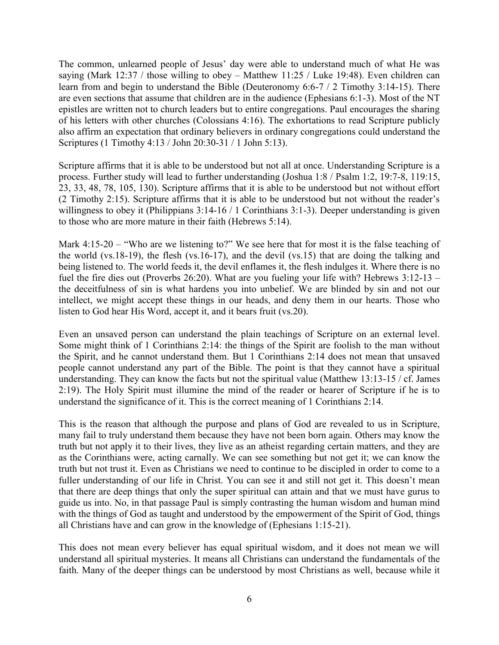The common, unlearned people of Jesus' day were able to understand much of what He was saying (Mark 12:37 / those willing to obey – Matthew 11:25 / Luke 19:48). Even children can learn from and begin to understand the Bible (Deuteronomy 6:6-7 / 2 Timothy 3:14-15). There are even sections that assume that children are in the audience (Ephesians 6:1-3). Most of the NT epistles are written not to church leaders but to entire congregations. Paul encourages the sharing of his letters with other churches (Colossians 4:16). The exhortations to read Scripture publicly also affirm an expectation that ordinary believers in ordinary congregations could understand the Scriptures (1 Timothy 4:13 / John 20:30-31 / 1 John 5:13).

Scripture affirms that it is able to be understood but not all at once. Understanding Scripture is a process. Further study will lead to further understanding (Joshua 1:8 / Psalm 1:2, 19:7-8, 119:15, 23, 33, 48, 78, 105, 130). Scripture affirms that it is able to be understood but not without effort (2 Timothy 2:15). Scripture affirms that it is able to be understood but not without the reader's willingness to obey it (Philippians 3:14-16 / 1 Corinthians 3:1-3). Deeper understanding is given to those who are more mature in their faith (Hebrews 5:14).

Mark 4:15-20 – "Who are we listening to?" We see here that for most it is the false teaching of the world (vs.18-19), the flesh (vs.16-17), and the devil (vs.15) that are doing the talking and being listened to. The world feeds it, the devil enflames it, the flesh indulges it. Where there is no fuel the fire dies out (Proverbs 26:20). What are you fueling your life with? Hebrews 3:12-13 – the deceitfulness of sin is what hardens you into unbelief. We are blinded by sin and not our intellect, we might accept these things in our heads, and deny them in our hearts. Those who listen to God hear His Word, accept it, and it bears fruit (vs.20).

Even an unsaved person can understand the plain teachings of Scripture on an external level. Some might think of 1 Corinthians 2:14: the things of the Spirit are foolish to the man without the Spirit, and he cannot understand them. But 1 Corinthians 2:14 does not mean that unsaved people cannot understand any part of the Bible. The point is that they cannot have a spiritual understanding. They can know the facts but not the spiritual value (Matthew 13:13-15 / cf. James 2:19). The Holy Spirit must illumine the mind of the reader or hearer of Scripture if he is to understand the significance of it. This is the correct meaning of 1 Corinthians 2:14.

This is the reason that although the purpose and plans of God are revealed to us in Scripture, many fail to truly understand them because they have not been born again. Others may know the truth but not apply it to their lives, they live as an atheist regarding certain matters, and they are as the Corinthians were, acting carnally. We can see something but not get it; we can know the truth but not trust it. Even as Christians we need to continue to be discipled in order to come to a fuller understanding of our life in Christ. You can see it and still not get it. This doesn't mean that there are deep things that only the super spiritual can attain and that we must have gurus to guide us into. No, in that passage Paul is simply contrasting the human wisdom and human mind with the things of God as taught and understood by the empowerment of the Spirit of God, things all Christians have and can grow in the knowledge of (Ephesians 1:15-21).

This does not mean every believer has equal spiritual wisdom, and it does not mean we will understand all spiritual mysteries. It means all Christians can understand the fundamentals of the faith. Many of the deeper things can be understood by most Christians as well, because while it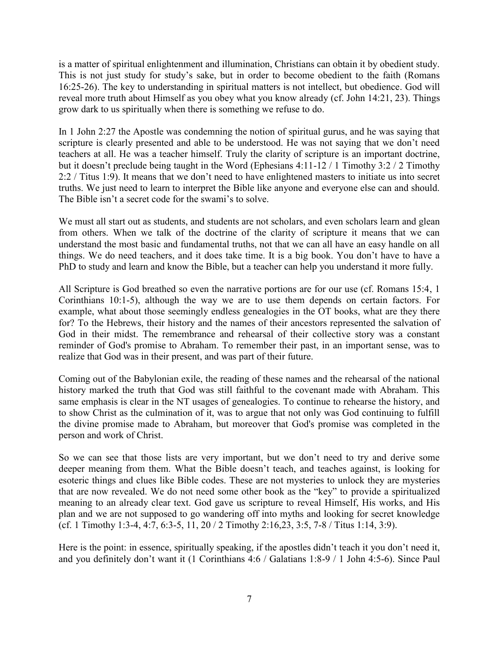is a matter of spiritual enlightenment and illumination, Christians can obtain it by obedient study. This is not just study for study's sake, but in order to become obedient to the faith (Romans 16:25-26). The key to understanding in spiritual matters is not intellect, but obedience. God will reveal more truth about Himself as you obey what you know already (cf. John 14:21, 23). Things grow dark to us spiritually when there is something we refuse to do.

In 1 John 2:27 the Apostle was condemning the notion of spiritual gurus, and he was saying that scripture is clearly presented and able to be understood. He was not saying that we don't need teachers at all. He was a teacher himself. Truly the clarity of scripture is an important doctrine, but it doesn't preclude being taught in the Word (Ephesians 4:11-12 / 1 Timothy 3:2 / 2 Timothy 2:2 / Titus 1:9). It means that we don't need to have enlightened masters to initiate us into secret truths. We just need to learn to interpret the Bible like anyone and everyone else can and should. The Bible isn't a secret code for the swami's to solve.

We must all start out as students, and students are not scholars, and even scholars learn and glean from others. When we talk of the doctrine of the clarity of scripture it means that we can understand the most basic and fundamental truths, not that we can all have an easy handle on all things. We do need teachers, and it does take time. It is a big book. You don't have to have a PhD to study and learn and know the Bible, but a teacher can help you understand it more fully.

All Scripture is God breathed so even the narrative portions are for our use (cf. Romans 15:4, 1 Corinthians 10:1-5), although the way we are to use them depends on certain factors. For example, what about those seemingly endless genealogies in the OT books, what are they there for? To the Hebrews, their history and the names of their ancestors represented the salvation of God in their midst. The remembrance and rehearsal of their collective story was a constant reminder of God's promise to Abraham. To remember their past, in an important sense, was to realize that God was in their present, and was part of their future.

Coming out of the Babylonian exile, the reading of these names and the rehearsal of the national history marked the truth that God was still faithful to the covenant made with Abraham. This same emphasis is clear in the NT usages of genealogies. To continue to rehearse the history, and to show Christ as the culmination of it, was to argue that not only was God continuing to fulfill the divine promise made to Abraham, but moreover that God's promise was completed in the person and work of Christ.

So we can see that those lists are very important, but we don't need to try and derive some deeper meaning from them. What the Bible doesn't teach, and teaches against, is looking for esoteric things and clues like Bible codes. These are not mysteries to unlock they are mysteries that are now revealed. We do not need some other book as the "key" to provide a spiritualized meaning to an already clear text. God gave us scripture to reveal Himself, His works, and His plan and we are not supposed to go wandering off into myths and looking for secret knowledge (cf. 1 Timothy 1:3-4, 4:7, 6:3-5, 11, 20 / 2 Timothy 2:16,23, 3:5, 7-8 / Titus 1:14, 3:9).

Here is the point: in essence, spiritually speaking, if the apostles didn't teach it you don't need it, and you definitely don't want it (1 Corinthians 4:6 / Galatians 1:8-9 / 1 John 4:5-6). Since Paul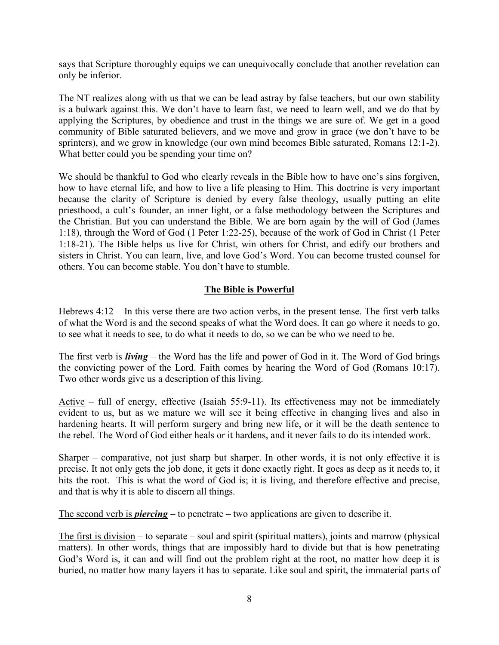says that Scripture thoroughly equips we can unequivocally conclude that another revelation can only be inferior.

The NT realizes along with us that we can be lead astray by false teachers, but our own stability is a bulwark against this. We don't have to learn fast, we need to learn well, and we do that by applying the Scriptures, by obedience and trust in the things we are sure of. We get in a good community of Bible saturated believers, and we move and grow in grace (we don't have to be sprinters), and we grow in knowledge (our own mind becomes Bible saturated, Romans 12:1-2). What better could you be spending your time on?

We should be thankful to God who clearly reveals in the Bible how to have one's sins forgiven, how to have eternal life, and how to live a life pleasing to Him. This doctrine is very important because the clarity of Scripture is denied by every false theology, usually putting an elite priesthood, a cult's founder, an inner light, or a false methodology between the Scriptures and the Christian. But you can understand the Bible. We are born again by the will of God (James 1:18), through the Word of God (1 Peter 1:22-25), because of the work of God in Christ (1 Peter 1:18-21). The Bible helps us live for Christ, win others for Christ, and edify our brothers and sisters in Christ. You can learn, live, and love God's Word. You can become trusted counsel for others. You can become stable. You don't have to stumble.

# **The Bible is Powerful**

Hebrews 4:12 – In this verse there are two action verbs, in the present tense. The first verb talks of what the Word is and the second speaks of what the Word does. It can go where it needs to go, to see what it needs to see, to do what it needs to do, so we can be who we need to be.

The first verb is *living* – the Word has the life and power of God in it. The Word of God brings the convicting power of the Lord. Faith comes by hearing the Word of God (Romans 10:17). Two other words give us a description of this living.

Active – full of energy, effective (Isaiah 55:9-11). Its effectiveness may not be immediately evident to us, but as we mature we will see it being effective in changing lives and also in hardening hearts. It will perform surgery and bring new life, or it will be the death sentence to the rebel. The Word of God either heals or it hardens, and it never fails to do its intended work.

Sharper – comparative, not just sharp but sharper. In other words, it is not only effective it is precise. It not only gets the job done, it gets it done exactly right. It goes as deep as it needs to, it hits the root. This is what the word of God is; it is living, and therefore effective and precise, and that is why it is able to discern all things.

The second verb is *piercing* – to penetrate – two applications are given to describe it.

The first is division – to separate – soul and spirit (spiritual matters), joints and marrow (physical matters). In other words, things that are impossibly hard to divide but that is how penetrating God's Word is, it can and will find out the problem right at the root, no matter how deep it is buried, no matter how many layers it has to separate. Like soul and spirit, the immaterial parts of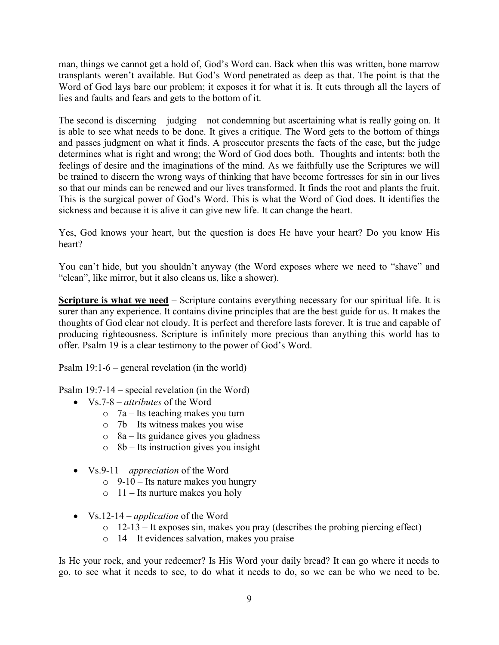man, things we cannot get a hold of, God's Word can. Back when this was written, bone marrow transplants weren't available. But God's Word penetrated as deep as that. The point is that the Word of God lays bare our problem; it exposes it for what it is. It cuts through all the layers of lies and faults and fears and gets to the bottom of it.

The second is discerning – judging – not condemning but ascertaining what is really going on. It is able to see what needs to be done. It gives a critique. The Word gets to the bottom of things and passes judgment on what it finds. A prosecutor presents the facts of the case, but the judge determines what is right and wrong; the Word of God does both. Thoughts and intents: both the feelings of desire and the imaginations of the mind. As we faithfully use the Scriptures we will be trained to discern the wrong ways of thinking that have become fortresses for sin in our lives so that our minds can be renewed and our lives transformed. It finds the root and plants the fruit. This is the surgical power of God's Word. This is what the Word of God does. It identifies the sickness and because it is alive it can give new life. It can change the heart.

Yes, God knows your heart, but the question is does He have your heart? Do you know His heart?

You can't hide, but you shouldn't anyway (the Word exposes where we need to "shave" and "clean", like mirror, but it also cleans us, like a shower).

**Scripture is what we need** – Scripture contains everything necessary for our spiritual life. It is surer than any experience. It contains divine principles that are the best guide for us. It makes the thoughts of God clear not cloudy. It is perfect and therefore lasts forever. It is true and capable of producing righteousness. Scripture is infinitely more precious than anything this world has to offer. Psalm 19 is a clear testimony to the power of God's Word.

Psalm 19:1-6 – general revelation (in the world)

Psalm 19:7-14 – special revelation (in the Word)

- Vs.7-8 *attributes* of the Word
	- o 7a Its teaching makes you turn
	- o 7b Its witness makes you wise
	- $\circ$  8a Its guidance gives you gladness
	- $\circ$  8b Its instruction gives you insight
- Vs.9-11 *appreciation* of the Word
	- $\circ$  9-10 Its nature makes you hungry
	- $\circ$  11 Its nurture makes you holy
- Vs.12-14 *application* of the Word
	- o 12-13 It exposes sin, makes you pray (describes the probing piercing effect)
	- o 14 It evidences salvation, makes you praise

Is He your rock, and your redeemer? Is His Word your daily bread? It can go where it needs to go, to see what it needs to see, to do what it needs to do, so we can be who we need to be.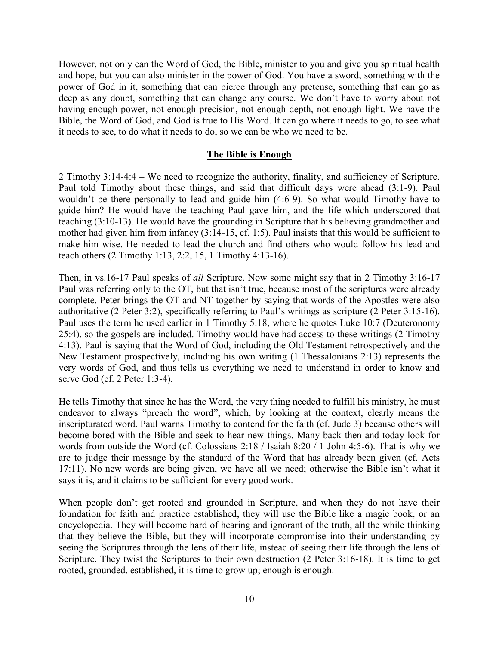However, not only can the Word of God, the Bible, minister to you and give you spiritual health and hope, but you can also minister in the power of God. You have a sword, something with the power of God in it, something that can pierce through any pretense, something that can go as deep as any doubt, something that can change any course. We don't have to worry about not having enough power, not enough precision, not enough depth, not enough light. We have the Bible, the Word of God, and God is true to His Word. It can go where it needs to go, to see what it needs to see, to do what it needs to do, so we can be who we need to be.

### **The Bible is Enough**

2 Timothy 3:14-4:4 – We need to recognize the authority, finality, and sufficiency of Scripture. Paul told Timothy about these things, and said that difficult days were ahead (3:1-9). Paul wouldn't be there personally to lead and guide him (4:6-9). So what would Timothy have to guide him? He would have the teaching Paul gave him, and the life which underscored that teaching (3:10-13). He would have the grounding in Scripture that his believing grandmother and mother had given him from infancy (3:14-15, cf. 1:5). Paul insists that this would be sufficient to make him wise. He needed to lead the church and find others who would follow his lead and teach others (2 Timothy 1:13, 2:2, 15, 1 Timothy 4:13-16).

Then, in vs.16-17 Paul speaks of *all* Scripture. Now some might say that in 2 Timothy 3:16-17 Paul was referring only to the OT, but that isn't true, because most of the scriptures were already complete. Peter brings the OT and NT together by saying that words of the Apostles were also authoritative (2 Peter 3:2), specifically referring to Paul's writings as scripture (2 Peter 3:15-16). Paul uses the term he used earlier in 1 Timothy 5:18, where he quotes Luke 10:7 (Deuteronomy 25:4), so the gospels are included. Timothy would have had access to these writings (2 Timothy 4:13). Paul is saying that the Word of God, including the Old Testament retrospectively and the New Testament prospectively, including his own writing (1 Thessalonians 2:13) represents the very words of God, and thus tells us everything we need to understand in order to know and serve God (cf. 2 Peter 1:3-4).

He tells Timothy that since he has the Word, the very thing needed to fulfill his ministry, he must endeavor to always "preach the word", which, by looking at the context, clearly means the inscripturated word. Paul warns Timothy to contend for the faith (cf. Jude 3) because others will become bored with the Bible and seek to hear new things. Many back then and today look for words from outside the Word (cf. Colossians 2:18 / Isaiah 8:20 / 1 John 4:5-6). That is why we are to judge their message by the standard of the Word that has already been given (cf. Acts 17:11). No new words are being given, we have all we need; otherwise the Bible isn't what it says it is, and it claims to be sufficient for every good work.

When people don't get rooted and grounded in Scripture, and when they do not have their foundation for faith and practice established, they will use the Bible like a magic book, or an encyclopedia. They will become hard of hearing and ignorant of the truth, all the while thinking that they believe the Bible, but they will incorporate compromise into their understanding by seeing the Scriptures through the lens of their life, instead of seeing their life through the lens of Scripture. They twist the Scriptures to their own destruction (2 Peter 3:16-18). It is time to get rooted, grounded, established, it is time to grow up; enough is enough.